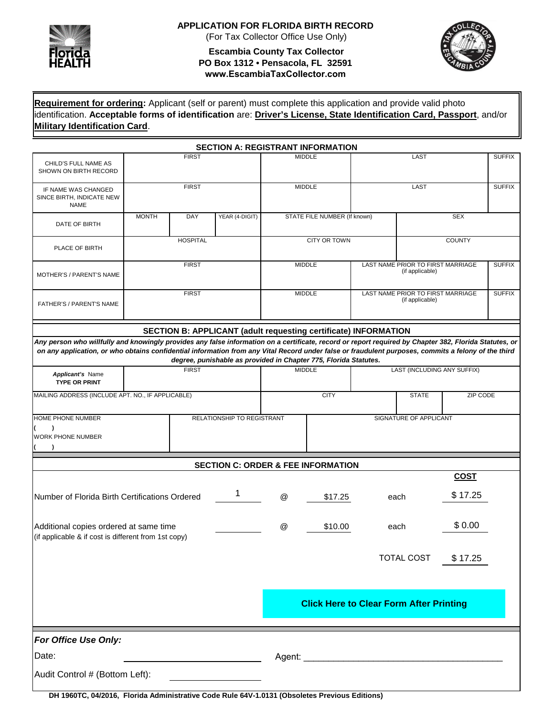

## **APPLICATION FOR FLORIDA BIRTH RECORD**

(For Tax Collector Office Use Only)

#### **Escambia County Tax Collector PO Box 1312 • Pensacola, FL 32591 www.EscambiaTaxCollector.com**



**Requirement for ordering:** Applicant (self or parent) must complete this application and provide valid photo identification. **Acceptable forms of identification** are: **Driver's License, State Identification Card, Passport**, and/or **Military Identification Card**.

|                                                                                                                                                                                                                                                                                                               |                                       |                 | <b>SECTION A: REGISTRANT INFORMATION</b>                         |                              |               |                                                      |                                                      |             |               |
|---------------------------------------------------------------------------------------------------------------------------------------------------------------------------------------------------------------------------------------------------------------------------------------------------------------|---------------------------------------|-----------------|------------------------------------------------------------------|------------------------------|---------------|------------------------------------------------------|------------------------------------------------------|-------------|---------------|
| CHILD'S FULL NAME AS<br>SHOWN ON BIRTH RECORD                                                                                                                                                                                                                                                                 | <b>FIRST</b>                          |                 |                                                                  |                              | <b>MIDDLE</b> |                                                      | LAST                                                 |             | <b>SUFFIX</b> |
| IF NAME WAS CHANGED<br>SINCE BIRTH, INDICATE NEW<br><b>NAME</b>                                                                                                                                                                                                                                               | <b>FIRST</b>                          |                 |                                                                  | <b>MIDDLE</b>                |               |                                                      | LAST                                                 |             | <b>SUFFIX</b> |
| DATE OF BIRTH                                                                                                                                                                                                                                                                                                 | <b>MONTH</b><br>DAY<br>YEAR (4-DIGIT) |                 |                                                                  | STATE FILE NUMBER (If known) |               | <b>SEX</b>                                           |                                                      |             |               |
| PLACE OF BIRTH                                                                                                                                                                                                                                                                                                |                                       | <b>HOSPITAL</b> |                                                                  | CITY OR TOWN                 |               | <b>COUNTY</b>                                        |                                                      |             |               |
| MOTHER'S / PARENT'S NAME                                                                                                                                                                                                                                                                                      |                                       | <b>FIRST</b>    |                                                                  | <b>MIDDLE</b>                |               |                                                      | LAST NAME PRIOR TO FIRST MARRIAGE<br>(if applicable) |             | <b>SUFFIX</b> |
| FATHER'S / PARENT'S NAME                                                                                                                                                                                                                                                                                      |                                       | <b>FIRST</b>    |                                                                  | <b>MIDDLE</b>                |               | LAST NAME PRIOR TO FIRST MARRIAGE<br>(if applicable) |                                                      |             | <b>SUFFIX</b> |
|                                                                                                                                                                                                                                                                                                               |                                       |                 | SECTION B: APPLICANT (adult requesting certificate) INFORMATION  |                              |               |                                                      |                                                      |             |               |
| Any person who willfully and knowingly provides any false information on a certificate, record or report required by Chapter 382, Florida Statutes, or<br>on any application, or who obtains confidential information from any Vital Record under false or fraudulent purposes, commits a felony of the third |                                       |                 | degree, punishable as provided in Chapter 775, Florida Statutes. |                              |               |                                                      |                                                      |             |               |
| <b>Applicant's Name</b><br><b>TYPE OR PRINT</b>                                                                                                                                                                                                                                                               | <b>FIRST</b>                          |                 |                                                                  | <b>MIDDLE</b>                |               | <b>LAST (INCLUDING ANY SUFFIX)</b>                   |                                                      |             |               |
| MAILING ADDRESS (INCLUDE APT. NO., IF APPLICABLE)                                                                                                                                                                                                                                                             |                                       |                 |                                                                  |                              | <b>CITY</b>   |                                                      | ZIP CODE<br><b>STATE</b>                             |             |               |
| HOME PHONE NUMBER<br>RELATIONSHIP TO REGISTRANT<br>$\lambda$<br><b>WORK PHONE NUMBER</b>                                                                                                                                                                                                                      |                                       |                 |                                                                  |                              |               |                                                      | SIGNATURE OF APPLICANT                               |             |               |
|                                                                                                                                                                                                                                                                                                               |                                       |                 | <b>SECTION C: ORDER &amp; FEE INFORMATION</b>                    |                              |               |                                                      |                                                      |             |               |
|                                                                                                                                                                                                                                                                                                               |                                       |                 |                                                                  |                              |               |                                                      |                                                      | <b>COST</b> |               |
| 1<br>Number of Florida Birth Certifications Ordered                                                                                                                                                                                                                                                           |                                       |                 |                                                                  | $^{\copyright}$              | \$17.25       |                                                      | \$17.25<br>each                                      |             |               |
| Additional copies ordered at same time<br>(if applicable & if cost is different from 1st copy)                                                                                                                                                                                                                | $^{\textregistered}$                  | \$10.00         |                                                                  | \$0.00<br>each               |               |                                                      |                                                      |             |               |
|                                                                                                                                                                                                                                                                                                               |                                       |                 |                                                                  |                              |               |                                                      | TOTAL COST                                           | \$17.25     |               |
| <b>Click Here to Clear Form After Printing</b>                                                                                                                                                                                                                                                                |                                       |                 |                                                                  |                              |               |                                                      |                                                      |             |               |
| For Office Use Only:<br>Date:<br>Audit Control # (Bottom Left):                                                                                                                                                                                                                                               |                                       |                 |                                                                  |                              |               |                                                      |                                                      |             |               |
| DH 1960TC, 04/2016, Florida Administrative Code Rule 64V-1.0131 (Obsoletes Previous Editions)                                                                                                                                                                                                                 |                                       |                 |                                                                  |                              |               |                                                      |                                                      |             |               |